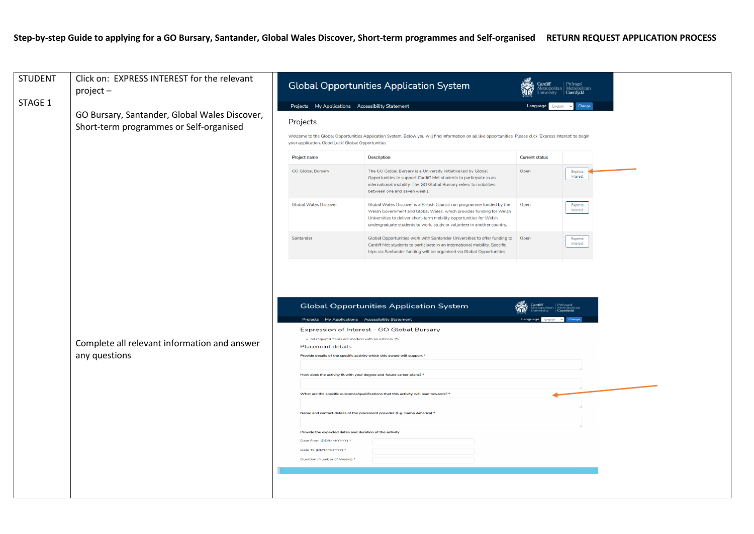## **Step-by-step Guide to applying for a GO Bursary, Santander, Global Wales Discover, Short-term programmes and Self-organised RETURN REQUEST APPLICATION PROCESS**

| <b>STUDENT</b><br>STAGE 1 | Click on: EXPRESS INTEREST for the relevant<br>$project -$<br>GO Bursary, Santander, Global Wales Discover,<br>Short-term programmes or Self-organised<br>Complete all relevant information and answer<br>any questions | <b>Global Opportunities Application System</b><br><b>Caerdvdd</b><br>Projects My Applications Accessibility Statement<br>Language<br>Change<br>English<br>Projects<br>Welcome to the Global Opportunities Application System. Below you will find information on all live opportunities. Please click 'Express Interest' to begin<br>your application. Good Luck! Global Opportunities<br>Project name<br><b>Description</b><br><b>Current status</b><br><b>GO Global Bursary</b><br>The GO Global Bursary is a University initiative led by Global<br>Open<br>Express<br>Interest |                                                                                                                                                                                                                                                                                                                                                                                                                                                                                                                                                                                                                                              |      |                                            |  |  |  |
|---------------------------|-------------------------------------------------------------------------------------------------------------------------------------------------------------------------------------------------------------------------|------------------------------------------------------------------------------------------------------------------------------------------------------------------------------------------------------------------------------------------------------------------------------------------------------------------------------------------------------------------------------------------------------------------------------------------------------------------------------------------------------------------------------------------------------------------------------------|----------------------------------------------------------------------------------------------------------------------------------------------------------------------------------------------------------------------------------------------------------------------------------------------------------------------------------------------------------------------------------------------------------------------------------------------------------------------------------------------------------------------------------------------------------------------------------------------------------------------------------------------|------|--------------------------------------------|--|--|--|
|                           |                                                                                                                                                                                                                         | <b>Global Wales Discover</b><br>Santander                                                                                                                                                                                                                                                                                                                                                                                                                                                                                                                                          | Opportunities to support Cardiff Met students to participate in an<br>international mobility. The GO Global Bursary refers to mobilities<br>between one and seven weeks.<br>Global Wales Discover is a British Council run programme funded by the<br>Welsh Government and Global Wales, which provides funding for Welsh<br>Universities to deliver short-term mobility opportunities for Welsh<br>undergraduate students to work, study or volunteer in another country.<br>Global Opportunities work with Santander Universities to offer funding to   Open<br>Cardiff Met students to participate in an international mobility. Specific | Open | Express<br>Interest<br>Express<br>Interest |  |  |  |
|                           |                                                                                                                                                                                                                         | Projects My Applications Accessibility Statement<br>· all required fields are marked with an asterisk (*)<br><b>Placement details</b><br>Provide the expected dates and duration of the activity<br>Date From (DD/MM/YYYY) *<br>Date To (DD/MM/YYYY) *<br>Duration (Number of Weeks) *                                                                                                                                                                                                                                                                                             | trips via Santander funding will be organised via Global Opportunities.<br><b>Global Opportunities Application System</b><br>Expression of Interest - GO Global Bursary<br>Provide details of the specific activity which this award will support<br>How does the activity fit with your degree and future career plans? *<br>What are the specific outcomes/qualifications that this activity will lead towards? *<br>Name and contact details of the placement provider (E.g. Camp America) *                                                                                                                                              |      |                                            |  |  |  |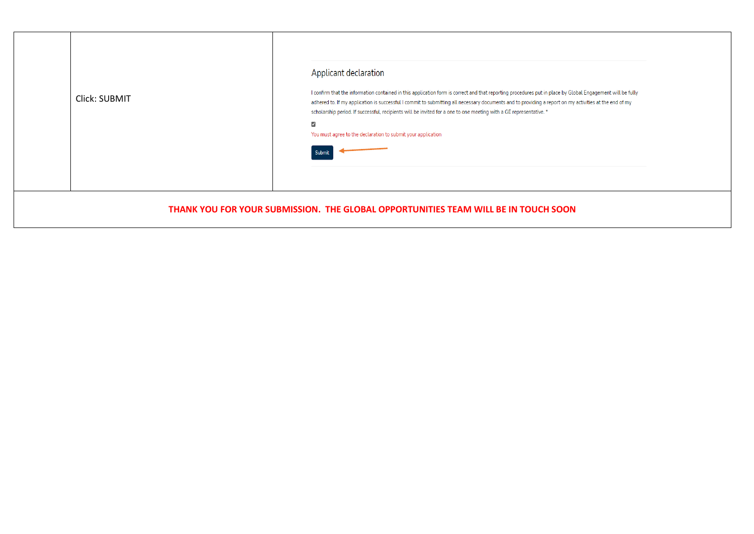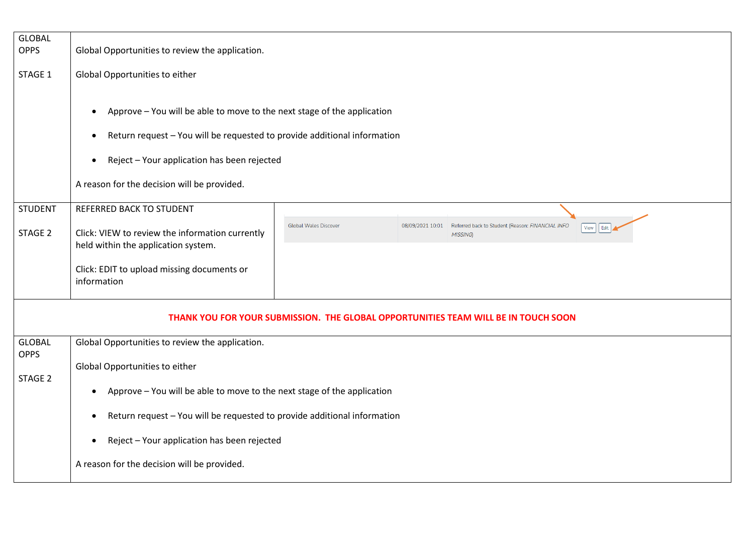| <b>GLOBAL</b>                |                                                                                                                                                                                                                                                                                  |                              |  |                                                                                                              |  |  |  |  |  |
|------------------------------|----------------------------------------------------------------------------------------------------------------------------------------------------------------------------------------------------------------------------------------------------------------------------------|------------------------------|--|--------------------------------------------------------------------------------------------------------------|--|--|--|--|--|
| <b>OPPS</b>                  | Global Opportunities to review the application.                                                                                                                                                                                                                                  |                              |  |                                                                                                              |  |  |  |  |  |
| STAGE 1                      | Global Opportunities to either                                                                                                                                                                                                                                                   |                              |  |                                                                                                              |  |  |  |  |  |
|                              | Approve - You will be able to move to the next stage of the application<br>$\bullet$<br>Return request - You will be requested to provide additional information<br>٠<br>Reject - Your application has been rejected<br>$\bullet$<br>A reason for the decision will be provided. |                              |  |                                                                                                              |  |  |  |  |  |
|                              |                                                                                                                                                                                                                                                                                  |                              |  |                                                                                                              |  |  |  |  |  |
| <b>STUDENT</b>               | REFERRED BACK TO STUDENT                                                                                                                                                                                                                                                         |                              |  |                                                                                                              |  |  |  |  |  |
| STAGE 2                      | Click: VIEW to review the information currently<br>held within the application system.                                                                                                                                                                                           | <b>Global Wales Discover</b> |  | 08/09/2021 10:01 Referred back to Student (Reason: FINANCIAL INFO<br>$View \parallel$ Edit<br><b>MISSING</b> |  |  |  |  |  |
|                              |                                                                                                                                                                                                                                                                                  |                              |  |                                                                                                              |  |  |  |  |  |
|                              | Click: EDIT to upload missing documents or<br>information                                                                                                                                                                                                                        |                              |  |                                                                                                              |  |  |  |  |  |
|                              |                                                                                                                                                                                                                                                                                  |                              |  |                                                                                                              |  |  |  |  |  |
|                              |                                                                                                                                                                                                                                                                                  |                              |  | THANK YOU FOR YOUR SUBMISSION. THE GLOBAL OPPORTUNITIES TEAM WILL BE IN TOUCH SOON                           |  |  |  |  |  |
| <b>GLOBAL</b><br><b>OPPS</b> | Global Opportunities to review the application.                                                                                                                                                                                                                                  |                              |  |                                                                                                              |  |  |  |  |  |
| STAGE 2                      | Global Opportunities to either                                                                                                                                                                                                                                                   |                              |  |                                                                                                              |  |  |  |  |  |
|                              | Approve - You will be able to move to the next stage of the application<br>٠                                                                                                                                                                                                     |                              |  |                                                                                                              |  |  |  |  |  |
|                              | Return request - You will be requested to provide additional information<br>٠                                                                                                                                                                                                    |                              |  |                                                                                                              |  |  |  |  |  |
|                              | Reject - Your application has been rejected<br>٠                                                                                                                                                                                                                                 |                              |  |                                                                                                              |  |  |  |  |  |
|                              | A reason for the decision will be provided.                                                                                                                                                                                                                                      |                              |  |                                                                                                              |  |  |  |  |  |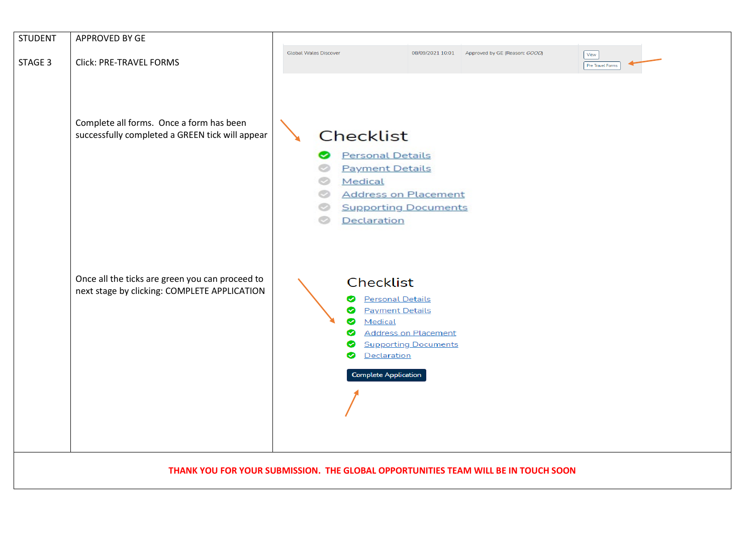

## **THANK YOU FOR YOUR SUBMISSION. THE GLOBAL OPPORTUNITIES TEAM WILL BE IN TOUCH SOON**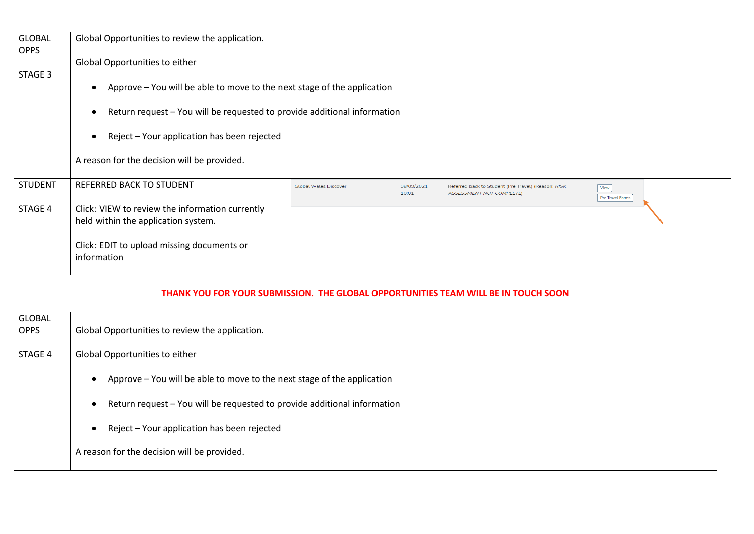| <b>GLOBAL</b><br><b>OPPS</b> | Global Opportunities to review the application.                                        |                              |                     |                                                                                       |                          |  |  |  |  |
|------------------------------|----------------------------------------------------------------------------------------|------------------------------|---------------------|---------------------------------------------------------------------------------------|--------------------------|--|--|--|--|
|                              | Global Opportunities to either                                                         |                              |                     |                                                                                       |                          |  |  |  |  |
| STAGE 3                      | Approve - You will be able to move to the next stage of the application<br>$\bullet$   |                              |                     |                                                                                       |                          |  |  |  |  |
|                              | Return request - You will be requested to provide additional information<br>$\bullet$  |                              |                     |                                                                                       |                          |  |  |  |  |
|                              | Reject - Your application has been rejected<br>$\bullet$                               |                              |                     |                                                                                       |                          |  |  |  |  |
|                              | A reason for the decision will be provided.                                            |                              |                     |                                                                                       |                          |  |  |  |  |
| <b>STUDENT</b>               | REFERRED BACK TO STUDENT                                                               | <b>Global Wales Discover</b> | 08/09/2021<br>10:01 | Referred back to Student (Pre Travel) (Reason: RISK<br><b>ASSESSMENT NOT COMPLETE</b> | View<br>Pre Travel Forms |  |  |  |  |
| STAGE 4                      | Click: VIEW to review the information currently<br>held within the application system. |                              |                     |                                                                                       |                          |  |  |  |  |
|                              | Click: EDIT to upload missing documents or<br>information                              |                              |                     |                                                                                       |                          |  |  |  |  |
|                              | THANK YOU FOR YOUR SUBMISSION. THE GLOBAL OPPORTUNITIES TEAM WILL BE IN TOUCH SOON     |                              |                     |                                                                                       |                          |  |  |  |  |
| <b>GLOBAL</b><br><b>OPPS</b> | Global Opportunities to review the application.                                        |                              |                     |                                                                                       |                          |  |  |  |  |
| STAGE 4                      | Global Opportunities to either                                                         |                              |                     |                                                                                       |                          |  |  |  |  |
|                              | Approve - You will be able to move to the next stage of the application<br>$\bullet$   |                              |                     |                                                                                       |                          |  |  |  |  |
|                              | Return request - You will be requested to provide additional information<br>$\bullet$  |                              |                     |                                                                                       |                          |  |  |  |  |
|                              | Reject - Your application has been rejected<br>$\bullet$                               |                              |                     |                                                                                       |                          |  |  |  |  |
|                              | A reason for the decision will be provided.                                            |                              |                     |                                                                                       |                          |  |  |  |  |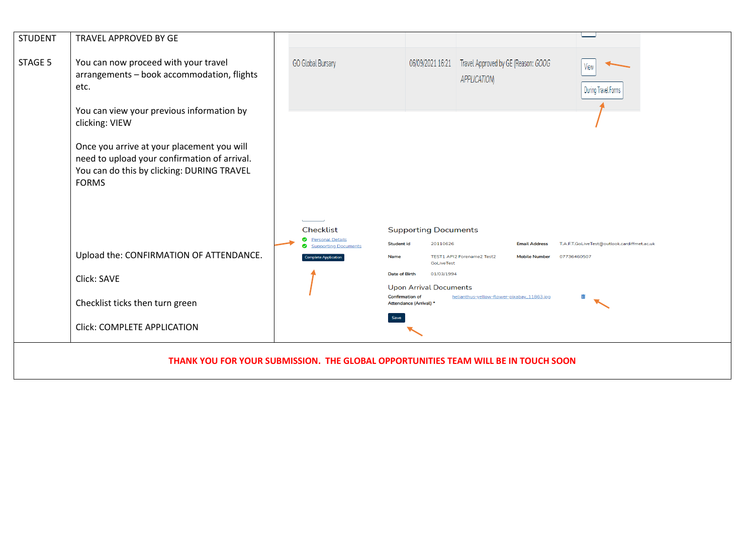| <b>STUDENT</b> | TRAVEL APPROVED BY GE                                                                                                                                    |                                                            |                                                                                                                                                                                                        |  |
|----------------|----------------------------------------------------------------------------------------------------------------------------------------------------------|------------------------------------------------------------|--------------------------------------------------------------------------------------------------------------------------------------------------------------------------------------------------------|--|
| STAGE 5        | You can now proceed with your travel<br>arrangements - book accommodation, flights<br>etc.                                                               | <b>GO Global Bursary</b>                                   | Travel Approved by GE (Reason: GOOG<br>06/09/2021 16:21<br>View<br><b>APPLICATION</b><br>During Travel Forms                                                                                           |  |
|                | You can view your previous information by<br>clicking: VIEW                                                                                              |                                                            |                                                                                                                                                                                                        |  |
|                | Once you arrive at your placement you will<br>need to upload your confirmation of arrival.<br>You can do this by clicking: DURING TRAVEL<br><b>FORMS</b> |                                                            |                                                                                                                                                                                                        |  |
|                |                                                                                                                                                          | Checklist<br><b>Personal Details</b><br>◉                  | <b>Supporting Documents</b>                                                                                                                                                                            |  |
|                | Upload the: CONFIRMATION OF ATTENDANCE.                                                                                                                  | <b>Supporting Documents</b><br><b>Complete Application</b> | <b>Student id</b><br>20110626<br><b>Email Address</b><br>T.A.F.T.GoLiveTest@outlook.cardiffmet.ac.uk<br><b>Name</b><br>TEST1 API2 Forename2 Test2<br>07736460507<br><b>Mobile Number</b><br>GoLiveTest |  |
|                | Click: SAVE                                                                                                                                              |                                                            | 01/03/1994<br><b>Date of Birth</b><br><b>Upon Arrival Documents</b>                                                                                                                                    |  |
|                | Checklist ticks then turn green                                                                                                                          |                                                            | <b>Confirmation of</b><br>helianthus-yellow-flower-pixabay_11863.jpg<br>Attendance (Arrival) *                                                                                                         |  |
|                | Click: COMPLETE APPLICATION                                                                                                                              |                                                            |                                                                                                                                                                                                        |  |
|                |                                                                                                                                                          |                                                            | THANK YOU FOR YOUR SUBMISSION. THE GLOBAL OPPORTUNITIES TEAM WILL BE IN TOUCH SOON                                                                                                                     |  |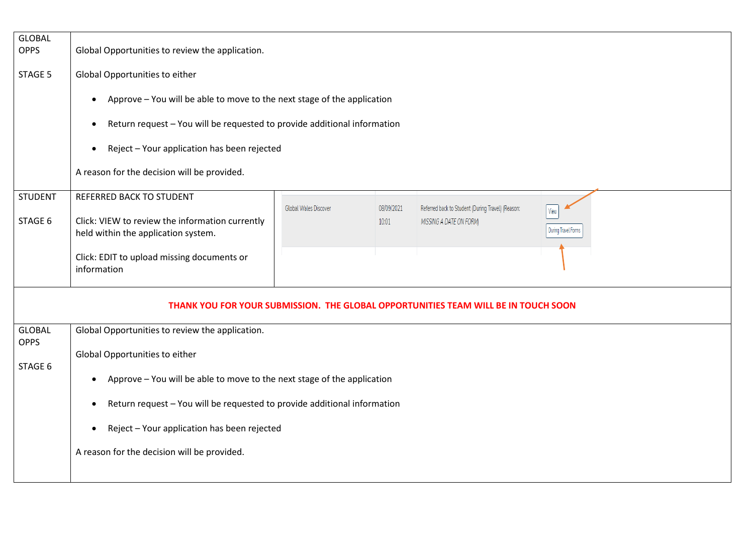| <b>GLOBAL</b><br><b>OPPS</b> | Global Opportunities to review the application.                                        |                              |            |                                                                                    |                     |  |  |  |  |  |
|------------------------------|----------------------------------------------------------------------------------------|------------------------------|------------|------------------------------------------------------------------------------------|---------------------|--|--|--|--|--|
| STAGE 5                      | Global Opportunities to either                                                         |                              |            |                                                                                    |                     |  |  |  |  |  |
|                              | Approve - You will be able to move to the next stage of the application<br>$\bullet$   |                              |            |                                                                                    |                     |  |  |  |  |  |
|                              | Return request - You will be requested to provide additional information<br>$\bullet$  |                              |            |                                                                                    |                     |  |  |  |  |  |
|                              | Reject - Your application has been rejected<br>$\bullet$                               |                              |            |                                                                                    |                     |  |  |  |  |  |
|                              | A reason for the decision will be provided.                                            |                              |            |                                                                                    |                     |  |  |  |  |  |
| <b>STUDENT</b>               | REFERRED BACK TO STUDENT                                                               | <b>Global Wales Discover</b> | 08/09/2021 | Referred back to Student (During Travel) (Reason:                                  | View                |  |  |  |  |  |
| STAGE 6                      | Click: VIEW to review the information currently<br>held within the application system. |                              | 10:01      | MISSING A DATE ON FORM                                                             | During Travel Forms |  |  |  |  |  |
|                              | Click: EDIT to upload missing documents or<br>information                              |                              |            |                                                                                    |                     |  |  |  |  |  |
|                              |                                                                                        |                              |            | THANK YOU FOR YOUR SUBMISSION. THE GLOBAL OPPORTUNITIES TEAM WILL BE IN TOUCH SOON |                     |  |  |  |  |  |
| <b>GLOBAL</b><br><b>OPPS</b> | Global Opportunities to review the application.                                        |                              |            |                                                                                    |                     |  |  |  |  |  |
| STAGE 6                      | Global Opportunities to either                                                         |                              |            |                                                                                    |                     |  |  |  |  |  |
|                              | Approve - You will be able to move to the next stage of the application<br>$\bullet$   |                              |            |                                                                                    |                     |  |  |  |  |  |
|                              | Return request - You will be requested to provide additional information<br>$\bullet$  |                              |            |                                                                                    |                     |  |  |  |  |  |
|                              | Reject - Your application has been rejected<br>$\bullet$                               |                              |            |                                                                                    |                     |  |  |  |  |  |
|                              | A reason for the decision will be provided.                                            |                              |            |                                                                                    |                     |  |  |  |  |  |
|                              |                                                                                        |                              |            |                                                                                    |                     |  |  |  |  |  |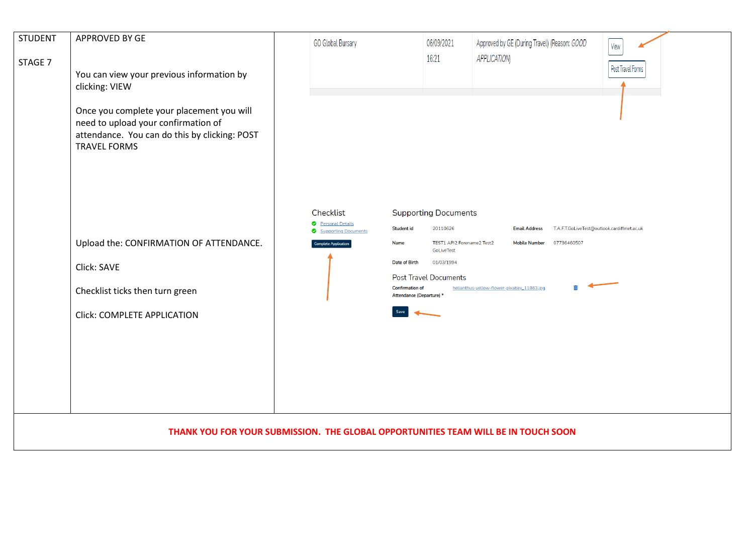| <b>STUDENT</b><br>STAGE 7 | APPROVED BY GE<br>You can view your previous information by<br>clicking: VIEW<br>Once you complete your placement you will<br>need to upload your confirmation of<br>attendance. You can do this by clicking: POST<br><b>TRAVEL FORMS</b> | <b>GO Global Bursary</b>                                                                      | 06/09/2021<br>16:21                                                                                                                                                                                     | Approved by GE (During Travel) (Reason: GOOD<br><b>APPLICATION</b>                                                                      | View<br>Post Travel Forms                   |  |  |  |
|---------------------------|-------------------------------------------------------------------------------------------------------------------------------------------------------------------------------------------------------------------------------------------|-----------------------------------------------------------------------------------------------|---------------------------------------------------------------------------------------------------------------------------------------------------------------------------------------------------------|-----------------------------------------------------------------------------------------------------------------------------------------|---------------------------------------------|--|--|--|
|                           | Upload the: CONFIRMATION OF ATTENDANCE.<br>Click: SAVE<br>Checklist ticks then turn green<br>Click: COMPLETE APPLICATION                                                                                                                  | Checklist<br><b>O</b> Personal Details<br>Supporting Documents<br><b>Complete Application</b> | <b>Supporting Documents</b><br>20110626<br><b>Student id</b><br><b>Name</b><br>GoLiveTest<br>Date of Birth<br>01/03/1994<br><b>Post Travel Documents</b><br>Confirmation of<br>Attendance (Departure) * | <b>Email Address</b><br>TEST1 API2 Forename2 Test2<br><b>Mobile Number</b><br>07736460507<br>helianthus-yellow-flower-pixabay_11863.jpg | T.A.F.T.GoLiveTest@outlook.cardiffmet.ac.uk |  |  |  |
|                           | THANK YOU FOR YOUR SUBMISSION. THE GLOBAL OPPORTUNITIES TEAM WILL BE IN TOUCH SOON                                                                                                                                                        |                                                                                               |                                                                                                                                                                                                         |                                                                                                                                         |                                             |  |  |  |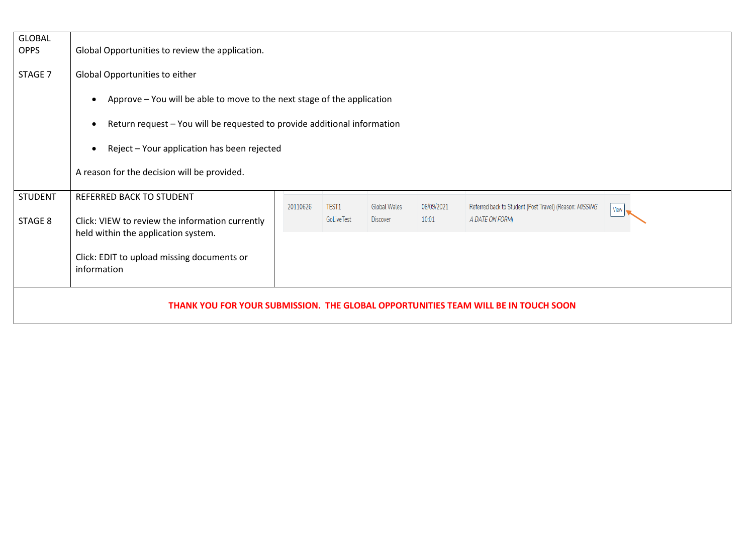| <b>GLOBAL</b><br><b>OPPS</b> | Global Opportunities to review the application.                                        |          |            |                     |            |                                                                                    |      |  |  |
|------------------------------|----------------------------------------------------------------------------------------|----------|------------|---------------------|------------|------------------------------------------------------------------------------------|------|--|--|
| STAGE 7                      | Global Opportunities to either                                                         |          |            |                     |            |                                                                                    |      |  |  |
|                              | Approve - You will be able to move to the next stage of the application<br>$\bullet$   |          |            |                     |            |                                                                                    |      |  |  |
|                              | Return request - You will be requested to provide additional information               |          |            |                     |            |                                                                                    |      |  |  |
|                              | Reject - Your application has been rejected                                            |          |            |                     |            |                                                                                    |      |  |  |
|                              | A reason for the decision will be provided.                                            |          |            |                     |            |                                                                                    |      |  |  |
| <b>STUDENT</b>               | REFERRED BACK TO STUDENT                                                               | 20110626 | TEST1      | <b>Global Wales</b> | 08/09/2021 | Referred back to Student (Post Travel) (Reason: MISSING                            | View |  |  |
| STAGE 8                      | Click: VIEW to review the information currently<br>held within the application system. |          | GoLiveTest | <b>Discover</b>     | 10:01      | A DATE ON FORM                                                                     |      |  |  |
|                              | Click: EDIT to upload missing documents or<br>information                              |          |            |                     |            |                                                                                    |      |  |  |
|                              |                                                                                        |          |            |                     |            | THANK YOU FOR YOUR SUBMISSION. THE GLOBAL OPPORTUNITIES TEAM WILL BE IN TOUCH SOON |      |  |  |